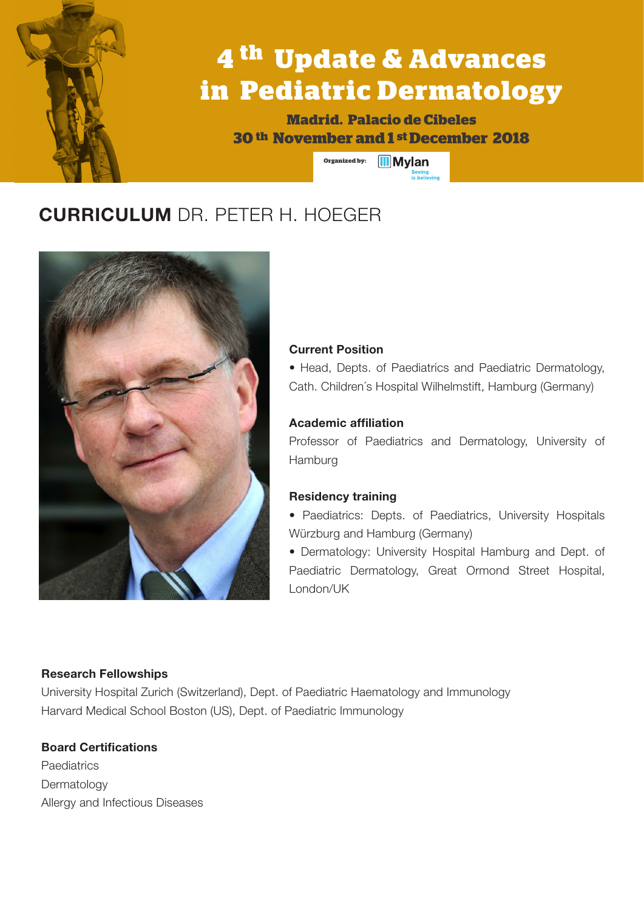# **4 th Update & Advances in Pediatric Dermatology**

**Madrid. Palacio de Cibeles 30 th November and 1 st December 2018**

**Organized by: III** Mylan

# **CURRICULUM** DR. PETER H. HOEGER



#### **Current Position**

• Head, Depts. of Paediatrics and Paediatric Dermatology, Cath. Children´s Hospital Wilhelmstift, Hamburg (Germany)

### **Academic affiliation**

Professor of Paediatrics and Dermatology, University of Hamburg

### **Residency training**

• Paediatrics: Depts. of Paediatrics, University Hospitals Würzburg and Hamburg (Germany)

• Dermatology: University Hospital Hamburg and Dept. of Paediatric Dermatology, Great Ormond Street Hospital, London/UK

### **Research Fellowships**

University Hospital Zurich (Switzerland), Dept. of Paediatric Haematology and Immunology Harvard Medical School Boston (US), Dept. of Paediatric Immunology

## **Board Certifications**

**Paediatrics** Dermatology Allergy and Infectious Diseases